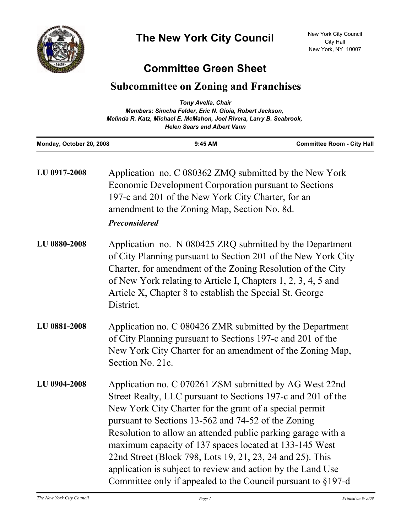

## **Committee Green Sheet**

## **Subcommittee on Zoning and Franchises**

| <b>Tony Avella, Chair</b><br>Members: Simcha Felder, Eric N. Gioia, Robert Jackson,<br>Melinda R. Katz, Michael E. McMahon, Joel Rivera, Larry B. Seabrook,<br><b>Helen Sears and Albert Vann</b> |                                                                                                                                                                                                                                               |                                                                                                                                                                                                                                                                                                                       |  |
|---------------------------------------------------------------------------------------------------------------------------------------------------------------------------------------------------|-----------------------------------------------------------------------------------------------------------------------------------------------------------------------------------------------------------------------------------------------|-----------------------------------------------------------------------------------------------------------------------------------------------------------------------------------------------------------------------------------------------------------------------------------------------------------------------|--|
| Monday, October 20, 2008                                                                                                                                                                          | $9:45$ AM                                                                                                                                                                                                                                     | <b>Committee Room - City Hall</b>                                                                                                                                                                                                                                                                                     |  |
| LU 0917-2008                                                                                                                                                                                      | Application no. C 080362 ZMQ submitted by the New York<br>Economic Development Corporation pursuant to Sections<br>197-c and 201 of the New York City Charter, for an<br>amendment to the Zoning Map, Section No. 8d.<br><b>Preconsidered</b> |                                                                                                                                                                                                                                                                                                                       |  |
| LU 0880-2008                                                                                                                                                                                      | District.                                                                                                                                                                                                                                     | Application no. N 080425 ZRQ submitted by the Department<br>of City Planning pursuant to Section 201 of the New York City<br>Charter, for amendment of the Zoning Resolution of the City<br>of New York relating to Article I, Chapters 1, 2, 3, 4, 5 and<br>Article X, Chapter 8 to establish the Special St. George |  |
| LU 0881-2008                                                                                                                                                                                      | Application no. C 080426 ZMR submitted by the Department                                                                                                                                                                                      |                                                                                                                                                                                                                                                                                                                       |  |

- Application no. C 080426 ZMR submitted by the Department of City Planning pursuant to Sections 197-c and 201 of the New York City Charter for an amendment of the Zoning Map, Section No. 21c.
- Application no. C 070261 ZSM submitted by AG West 22nd Street Realty, LLC pursuant to Sections 197-c and 201 of the New York City Charter for the grant of a special permit pursuant to Sections 13-562 and 74-52 of the Zoning Resolution to allow an attended public parking garage with a maximum capacity of 137 spaces located at 133-145 West 22nd Street (Block 798, Lots 19, 21, 23, 24 and 25). This application is subject to review and action by the Land Use Committee only if appealed to the Council pursuant to §197-d **LU 0904-2008**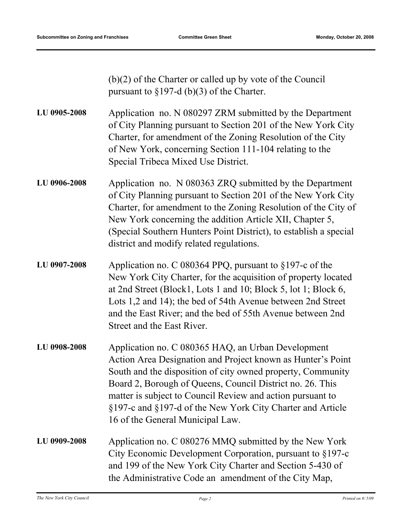(b)(2) of the Charter or called up by vote of the Council pursuant to §197-d (b)(3) of the Charter.

- Application no. N 080297 ZRM submitted by the Department of City Planning pursuant to Section 201 of the New York City Charter, for amendment of the Zoning Resolution of the City of New York, concerning Section 111-104 relating to the Special Tribeca Mixed Use District. **LU 0905-2008**
- Application no. N 080363 ZRQ submitted by the Department of City Planning pursuant to Section 201 of the New York City Charter, for amendment to the Zoning Resolution of the City of New York concerning the addition Article XII, Chapter 5, (Special Southern Hunters Point District), to establish a special district and modify related regulations. **LU 0906-2008**
- Application no. C 080364 PPQ, pursuant to §197-c of the New York City Charter, for the acquisition of property located at 2nd Street (Block1, Lots 1 and 10; Block 5, lot 1; Block 6, Lots 1,2 and 14); the bed of 54th Avenue between 2nd Street and the East River; and the bed of 55th Avenue between 2nd Street and the East River. **LU 0907-2008**
- Application no. C 080365 HAQ, an Urban Development Action Area Designation and Project known as Hunter's Point South and the disposition of city owned property, Community Board 2, Borough of Queens, Council District no. 26. This matter is subject to Council Review and action pursuant to §197-c and §197-d of the New York City Charter and Article 16 of the General Municipal Law. **LU 0908-2008**
- Application no. C 080276 MMQ submitted by the New York City Economic Development Corporation, pursuant to §197-c and 199 of the New York City Charter and Section 5-430 of the Administrative Code an amendment of the City Map, **LU 0909-2008**